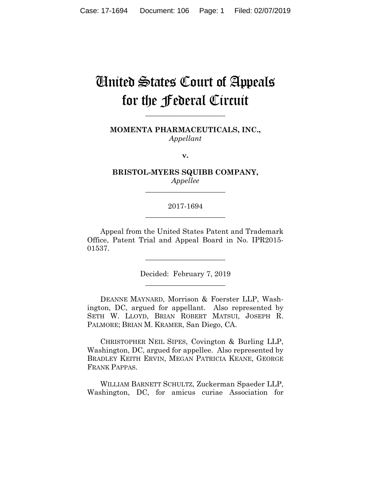# United States Court of Appeals for the Federal Circuit

**\_\_\_\_\_\_\_\_\_\_\_\_\_\_\_\_\_\_\_\_\_\_**

**MOMENTA PHARMACEUTICALS, INC.,** *Appellant*

**v.**

**BRISTOL-MYERS SQUIBB COMPANY,** *Appellee*

**\_\_\_\_\_\_\_\_\_\_\_\_\_\_\_\_\_\_\_\_\_\_**

# 2017-1694 **\_\_\_\_\_\_\_\_\_\_\_\_\_\_\_\_\_\_\_\_\_\_**

Appeal from the United States Patent and Trademark Office, Patent Trial and Appeal Board in No. IPR2015- 01537.

**\_\_\_\_\_\_\_\_\_\_\_\_\_\_\_\_\_\_\_\_\_\_**

Decided: February 7, 2019 **\_\_\_\_\_\_\_\_\_\_\_\_\_\_\_\_\_\_\_\_\_\_**

DEANNE MAYNARD, Morrison & Foerster LLP, Washington, DC, argued for appellant. Also represented by SETH W. LLOYD, BRIAN ROBERT MATSUI, JOSEPH R. PALMORE; BRIAN M. KRAMER, San Diego, CA.

CHRISTOPHER NEIL SIPES, Covington & Burling LLP, Washington, DC, argued for appellee. Also represented by BRADLEY KEITH ERVIN, MEGAN PATRICIA KEANE, GEORGE FRANK PAPPAS.

WILLIAM BARNETT SCHULTZ, Zuckerman Spaeder LLP, Washington, DC, for amicus curiae Association for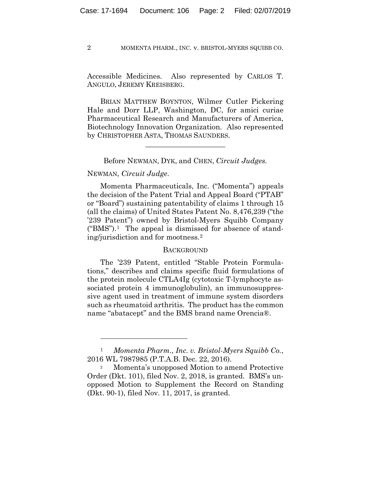Accessible Medicines. Also represented by CARLOS T. ANGULO, JEREMY KREISBERG.

BRIAN MATTHEW BOYNTON, Wilmer Cutler Pickering Hale and Dorr LLP, Washington, DC, for amici curiae Pharmaceutical Research and Manufacturers of America, Biotechnology Innovation Organization. Also represented by CHRISTOPHER ASTA, THOMAS SAUNDERS.

Before NEWMAN, DYK, and CHEN, *Circuit Judges.*

**\_\_\_\_\_\_\_\_\_\_\_\_\_\_\_\_\_\_\_\_\_\_**

## NEWMAN, *Circuit Judge*.

1

Momenta Pharmaceuticals, Inc. ("Momenta") appeals the decision of the Patent Trial and Appeal Board ("PTAB" or "Board") sustaining patentability of claims 1 through 15 (all the claims) of United States Patent No. 8,476,239 ("the '239 Patent") owned by Bristol-Myers Squibb Company ("BMS").<sup>1</sup> The appeal is dismissed for absence of standing/jurisdiction and for mootness.2

## **BACKGROUND**

The '239 Patent, entitled "Stable Protein Formulations," describes and claims specific fluid formulations of the protein molecule CTLA4Ig (cytotoxic T-lymphocyte associated protein 4 immunoglobulin), an immunosuppressive agent used in treatment of immune system disorders such as rheumatoid arthritis. The product has the common name "abatacept" and the BMS brand name Orencia®.

<sup>1</sup> *Momenta Pharm., Inc. v. Bristol-Myers Squibb Co.*, 2016 WL 7987985 (P.T.A.B. Dec. 22, 2016).

Momenta's unopposed Motion to amend Protective Order (Dkt. 101), filed Nov. 2, 2018, is granted. BMS's unopposed Motion to Supplement the Record on Standing (Dkt. 90-1), filed Nov. 11, 2017, is granted.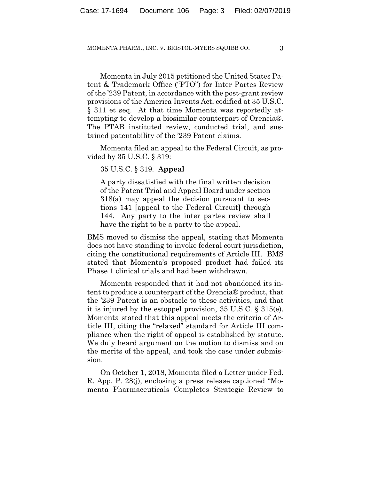Momenta in July 2015 petitioned the United States Patent & Trademark Office ("PTO") for Inter Partes Review of the '239 Patent, in accordance with the post-grant review provisions of the America Invents Act, codified at 35 U.S.C. § 311 et seq. At that time Momenta was reportedly attempting to develop a biosimilar counterpart of Orencia®. The PTAB instituted review, conducted trial, and sustained patentability of the '239 Patent claims.

Momenta filed an appeal to the Federal Circuit, as provided by 35 U.S.C. § 319:

35 U.S.C. § 319. **Appeal**

A party dissatisfied with the final written decision of the Patent Trial and Appeal Board under section 318(a) may appeal the decision pursuant to sections 141 [appeal to the Federal Circuit] through 144. Any party to the inter partes review shall have the right to be a party to the appeal.

BMS moved to dismiss the appeal, stating that Momenta does not have standing to invoke federal court jurisdiction, citing the constitutional requirements of Article III. BMS stated that Momenta's proposed product had failed its Phase 1 clinical trials and had been withdrawn.

Momenta responded that it had not abandoned its intent to produce a counterpart of the Orencia® product, that the '239 Patent is an obstacle to these activities, and that it is injured by the estoppel provision, 35 U.S.C. § 315(e). Momenta stated that this appeal meets the criteria of Article III, citing the "relaxed" standard for Article III compliance when the right of appeal is established by statute. We duly heard argument on the motion to dismiss and on the merits of the appeal, and took the case under submission.

On October 1, 2018, Momenta filed a Letter under Fed. R. App. P. 28(j), enclosing a press release captioned "Momenta Pharmaceuticals Completes Strategic Review to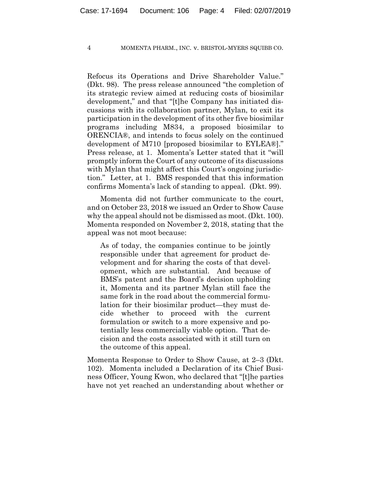Refocus its Operations and Drive Shareholder Value." (Dkt. 98). The press release announced "the completion of its strategic review aimed at reducing costs of biosimilar development," and that "[t]he Company has initiated discussions with its collaboration partner, Mylan, to exit its participation in the development of its other five biosimilar programs including M834, a proposed biosimilar to ORENCIA®, and intends to focus solely on the continued development of M710 [proposed biosimilar to EYLEA®]." Press release, at 1. Momenta's Letter stated that it "will promptly inform the Court of any outcome of its discussions with Mylan that might affect this Court's ongoing jurisdiction." Letter, at 1. BMS responded that this information confirms Momenta's lack of standing to appeal. (Dkt. 99).

Momenta did not further communicate to the court, and on October 23, 2018 we issued an Order to Show Cause why the appeal should not be dismissed as moot. (Dkt. 100). Momenta responded on November 2, 2018, stating that the appeal was not moot because:

As of today, the companies continue to be jointly responsible under that agreement for product development and for sharing the costs of that development, which are substantial. And because of BMS's patent and the Board's decision upholding it, Momenta and its partner Mylan still face the same fork in the road about the commercial formulation for their biosimilar product—they must decide whether to proceed with the current formulation or switch to a more expensive and potentially less commercially viable option. That decision and the costs associated with it still turn on the outcome of this appeal.

Momenta Response to Order to Show Cause, at 2–3 (Dkt. 102). Momenta included a Declaration of its Chief Business Officer, Young Kwon, who declared that "[t]he parties have not yet reached an understanding about whether or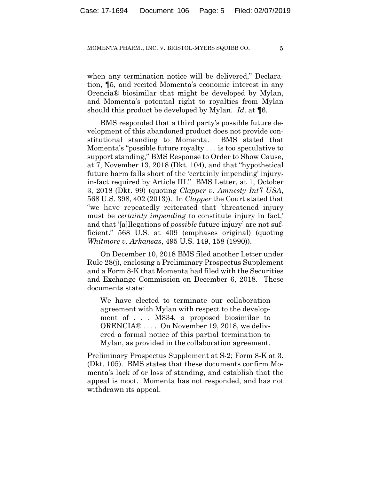when any termination notice will be delivered," Declaration, ¶5, and recited Momenta's economic interest in any Orencia® biosimilar that might be developed by Mylan, and Momenta's potential right to royalties from Mylan should this product be developed by Mylan. *Id*. at ¶6.

BMS responded that a third party's possible future development of this abandoned product does not provide constitutional standing to Momenta. BMS stated that Momenta's "possible future royalty . . . is too speculative to support standing," BMS Response to Order to Show Cause, at 7, November 13, 2018 (Dkt. 104), and that "hypothetical future harm falls short of the 'certainly impending' injuryin-fact required by Article III." BMS Letter, at 1, October 3, 2018 (Dkt. 99) (quoting *Clapper v. Amnesty Int'l USA*, 568 U.S. 398, 402 (2013)). In *Clapper* the Court stated that "we have repeatedly reiterated that 'threatened injury must be *certainly impending* to constitute injury in fact,' and that '[a]llegations of *possible* future injury' are not sufficient." 568 U.S. at 409 (emphases original) (quoting *Whitmore v. Arkansas*, 495 U.S. 149, 158 (1990)).

On December 10, 2018 BMS filed another Letter under Rule 28(j), enclosing a Preliminary Prospectus Supplement and a Form 8-K that Momenta had filed with the Securities and Exchange Commission on December 6, 2018. These documents state:

We have elected to terminate our collaboration agreement with Mylan with respect to the development of . . . M834, a proposed biosimilar to ORENCIA® ... On November 19, 2018, we delivered a formal notice of this partial termination to Mylan, as provided in the collaboration agreement.

Preliminary Prospectus Supplement at S-2; Form 8-K at 3. (Dkt. 105). BMS states that these documents confirm Momenta's lack of or loss of standing, and establish that the appeal is moot. Momenta has not responded, and has not withdrawn its appeal.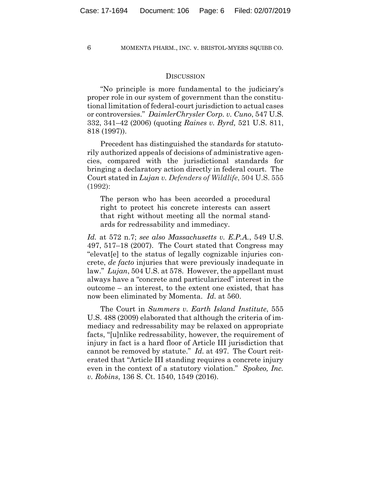## **DISCUSSION**

"No principle is more fundamental to the judiciary's proper role in our system of government than the constitutional limitation of federal-court jurisdiction to actual cases or controversies." *DaimlerChrysler Corp. v. Cuno*, 547 U.S. 332, 341–42 (2006) (quoting *Raines v. Byrd,* 521 U.S. 811, 818 (1997)).

Precedent has distinguished the standards for statutorily authorized appeals of decisions of administrative agencies, compared with the jurisdictional standards for bringing a declaratory action directly in federal court. The Court stated in *Lujan v. Defenders of Wildlife*, 504 U.S. 555 (1992):

The person who has been accorded a procedural right to protect his concrete interests can assert that right without meeting all the normal standards for redressability and immediacy.

*Id.* at 572 n.7; *see also Massachusetts v. E.P.A.*, 549 U.S. 497, 517–18 (2007). The Court stated that Congress may "elevat[e] to the status of legally cognizable injuries concrete, *de facto* injuries that were previously inadequate in law." *Lujan*, 504 U.S. at 578. However, the appellant must always have a "concrete and particularized" interest in the outcome – an interest, to the extent one existed, that has now been eliminated by Momenta. *Id.* at 560.

The Court in *Summers v. Earth Island Institute*, 555 U.S. 488 (2009) elaborated that although the criteria of immediacy and redressability may be relaxed on appropriate facts, "[u]nlike redressability, however, the requirement of injury in fact is a hard floor of Article III jurisdiction that cannot be removed by statute." *Id.* at 497. The Court reiterated that "Article III standing requires a concrete injury even in the context of a statutory violation." *Spokeo, Inc. v. Robins*, 136 S. Ct. 1540, 1549 (2016).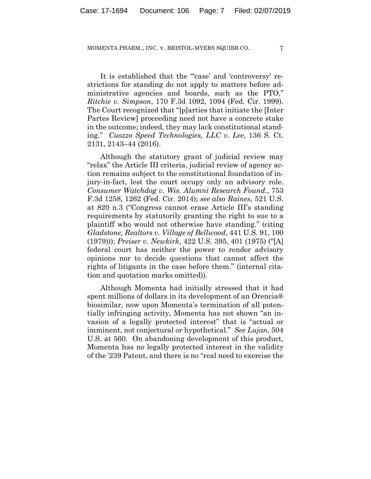It is established that the "case' and 'controversy' restrictions for standing do not apply to matters before administrative agencies and boards, such as the PTO," *Ritchie v. Simpson*, 170 F.3d 1092, 1094 (Fed. Cir. 1999). The Court recognized that "[p]arties that initiate the [Inter Partes Review] proceeding need not have a concrete stake in the outcome; indeed, they may lack constitutional standing." *Cuozzo Speed Technologies, LLC v. Lee*, 136 S. Ct. 2131, 2143–44 (2016).

Although the statutory grant of judicial review may "relax" the Article III criteria, judicial review of agency action remains subject to the constitutional foundation of injury-in-fact, lest the court occupy only an advisory role. *Consumer Watchdog v. Wis. Alumni Research Found.*, 753 F.3d 1258, 1262 (Fed. Cir. 2014); *see also Raines*, 521 U.S. at 820 n.3 ("Congress cannot erase Article III's standing requirements by statutorily granting the right to sue to a plaintiff who would not otherwise have standing." (citing *Gladstone, Realtors v. Village of Bellwood*, 441 U.S. 91, 100 (1979))); *Preiser v. Newkirk*, 422 U.S. 395, 401 (1975) ("[A] federal court has neither the power to render advisory opinions nor to decide questions that cannot affect the rights of litigants in the case before them." (internal citation and quotation marks omitted)).

Although Momenta had initially stressed that it had spent millions of dollars in its development of an Orencia® biosimilar, now upon Momenta's termination of all potentially infringing activity, Momenta has not shown "an invasion of a legally protected interest" that is "actual or imminent, not conjectural or hypothetical." *See Lujan*, 504 U.S. at 560. On abandoning development of this product, Momenta has no legally protected interest in the validity of the '239 Patent, and there is no "real need to exercise the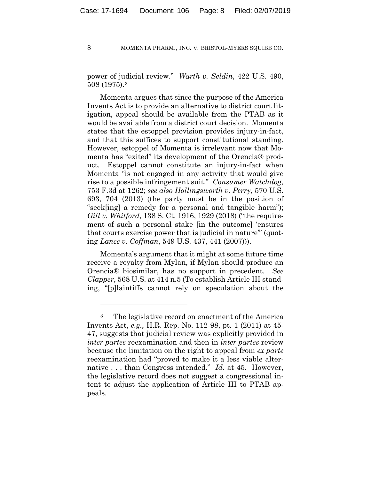power of judicial review." *Warth v. Seldin*, 422 U.S. 490, 508 (1975).3

Momenta argues that since the purpose of the America Invents Act is to provide an alternative to district court litigation, appeal should be available from the PTAB as it would be available from a district court decision. Momenta states that the estoppel provision provides injury-in-fact, and that this suffices to support constitutional standing. However, estoppel of Momenta is irrelevant now that Momenta has "exited" its development of the Orencia® product. Estoppel cannot constitute an injury-in-fact when Momenta "is not engaged in any activity that would give rise to a possible infringement suit." *Consumer Watchdog*, 753 F.3d at 1262; *see also Hollingsworth v. Perry*, 570 U.S. 693, 704 (2013) (the party must be in the position of "seek[ing] a remedy for a personal and tangible harm"); *Gill v. Whitford*, 138 S. Ct. 1916, 1929 (2018) ("the requirement of such a personal stake [in the outcome] 'ensures that courts exercise power that is judicial in nature'" (quoting *Lance v. Coffman*, 549 U.S. 437, 441 (2007))).

Momenta's argument that it might at some future time receive a royalty from Mylan, if Mylan should produce an Orencia® biosimilar, has no support in precedent. *See Clapper*, 568 U.S. at 414 n.5 (To establish Article III standing, "[p]laintiffs cannot rely on speculation about the

<u>.</u>

<sup>3</sup> The legislative record on enactment of the America Invents Act, *e.g.,* H.R. Rep. No. 112-98, pt. 1 (2011) at 45- 47, suggests that judicial review was explicitly provided in *inter partes* reexamination and then in *inter partes* review because the limitation on the right to appeal from *ex parte* reexamination had "proved to make it a less viable alternative . . . than Congress intended." *Id.* at 45. However, the legislative record does not suggest a congressional intent to adjust the application of Article III to PTAB appeals.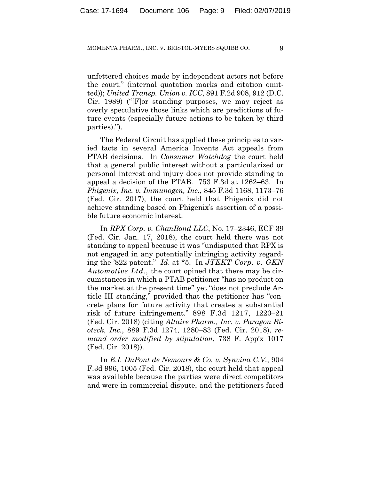unfettered choices made by independent actors not before the court." (internal quotation marks and citation omitted)); *United Transp. Union v. ICC*, 891 F.2d 908, 912 (D.C. Cir. 1989) ("[F]or standing purposes, we may reject as overly speculative those links which are predictions of future events (especially future actions to be taken by third parties).").

The Federal Circuit has applied these principles to varied facts in several America Invents Act appeals from PTAB decisions. In *Consumer Watchdog* the court held that a general public interest without a particularized or personal interest and injury does not provide standing to appeal a decision of the PTAB. 753 F.3d at 1262–63. In *Phigenix, Inc. v. Immunogen, Inc.*, 845 F.3d 1168, 1173–76 (Fed. Cir. 2017), the court held that Phigenix did not achieve standing based on Phigenix's assertion of a possible future economic interest.

In *RPX Corp. v. ChanBond LLC*, No. 17–2346, ECF 39 (Fed. Cir. Jan. 17, 2018), the court held there was not standing to appeal because it was "undisputed that RPX is not engaged in any potentially infringing activity regarding the '822 patent." *Id*. at \*5. In *JTEKT Corp. v. GKN Automotive Ltd.*, the court opined that there may be circumstances in which a PTAB petitioner "has no product on the market at the present time" yet "does not preclude Article III standing," provided that the petitioner has "concrete plans for future activity that creates a substantial risk of future infringement." 898 F.3d 1217, 1220–21 (Fed. Cir. 2018) (citing *Altaire Pharm., Inc. v. Paragon Bioteck, Inc.*, 889 F.3d 1274, 1280–83 (Fed. Cir. 2018), *remand order modified by stipulation*, 738 F. App'x 1017 (Fed. Cir. 2018)).

In *E.I. DuPont de Nemours & Co. v. Synvina C.V.*, 904 F.3d 996, 1005 (Fed. Cir. 2018), the court held that appeal was available because the parties were direct competitors and were in commercial dispute, and the petitioners faced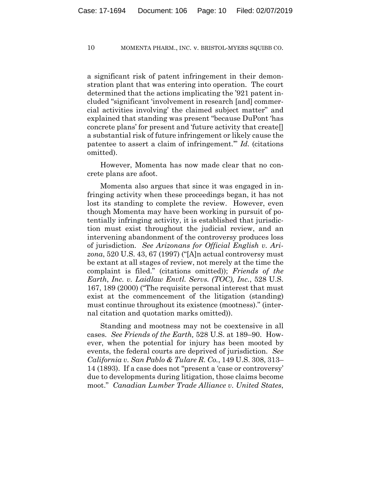a significant risk of patent infringement in their demonstration plant that was entering into operation. The court determined that the actions implicating the '921 patent included "significant 'involvement in research [and] commercial activities involving' the claimed subject matter" and explained that standing was present "because DuPont 'has concrete plans' for present and 'future activity that create[] a substantial risk of future infringement or likely cause the patentee to assert a claim of infringement.'" *Id.* (citations omitted).

However, Momenta has now made clear that no concrete plans are afoot.

Momenta also argues that since it was engaged in infringing activity when these proceedings began, it has not lost its standing to complete the review. However, even though Momenta may have been working in pursuit of potentially infringing activity, it is established that jurisdiction must exist throughout the judicial review, and an intervening abandonment of the controversy produces loss of jurisdiction. *See Arizonans for Official English v. Arizona*, 520 U.S. 43, 67 (1997) ("[A]n actual controversy must be extant at all stages of review, not merely at the time the complaint is filed." (citations omitted)); *Friends of the Earth*, *Inc. v. Laidlaw Envtl. Servs. (TOC), Inc.*, 528 U.S. 167, 189 (2000) ("The requisite personal interest that must exist at the commencement of the litigation (standing) must continue throughout its existence (mootness)." (internal citation and quotation marks omitted)).

Standing and mootness may not be coextensive in all cases. *See Friends of the Earth,* 528 U.S. at 189–90. However, when the potential for injury has been mooted by events, the federal courts are deprived of jurisdiction. *See California v. San Pablo & Tulare R. Co.*, 149 U.S. 308, 313– 14 (1893). If a case does not "present a 'case or controversy' due to developments during litigation, those claims become moot." *Canadian Lumber Trade Alliance v. United States*,